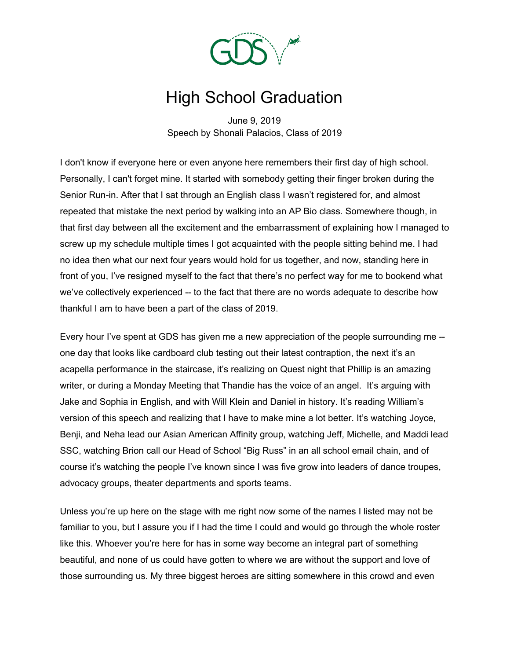

## High School Graduation

June 9, 2019 Speech by Shonali Palacios, Class of 2019

I don't know if everyone here or even anyone here remembers their first day of high school. Personally, I can't forget mine. It started with somebody getting their finger broken during the Senior Run-in. After that I sat through an English class I wasn't registered for, and almost repeated that mistake the next period by walking into an AP Bio class. Somewhere though, in that first day between all the excitement and the embarrassment of explaining how I managed to screw up my schedule multiple times I got acquainted with the people sitting behind me. I had no idea then what our next four years would hold for us together, and now, standing here in front of you, I've resigned myself to the fact that there's no perfect way for me to bookend what we've collectively experienced -- to the fact that there are no words adequate to describe how thankful I am to have been a part of the class of 2019.

Every hour I've spent at GDS has given me a new appreciation of the people surrounding me - one day that looks like cardboard club testing out their latest contraption, the next it's an acapella performance in the staircase, it's realizing on Quest night that Phillip is an amazing writer, or during a Monday Meeting that Thandie has the voice of an angel. It's arguing with Jake and Sophia in English, and with Will Klein and Daniel in history. It's reading William's version of this speech and realizing that I have to make mine a lot better. It's watching Joyce, Benji, and Neha lead our Asian American Affinity group, watching Jeff, Michelle, and Maddi lead SSC, watching Brion call our Head of School "Big Russ" in an all school email chain, and of course it's watching the people I've known since I was five grow into leaders of dance troupes, advocacy groups, theater departments and sports teams.

Unless you're up here on the stage with me right now some of the names I listed may not be familiar to you, but I assure you if I had the time I could and would go through the whole roster like this. Whoever you're here for has in some way become an integral part of something beautiful, and none of us could have gotten to where we are without the support and love of those surrounding us. My three biggest heroes are sitting somewhere in this crowd and even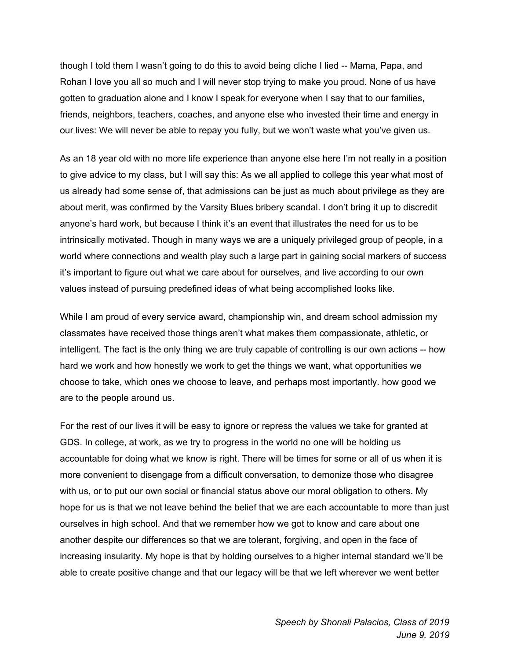though I told them I wasn't going to do this to avoid being cliche I lied -- Mama, Papa, and Rohan I love you all so much and I will never stop trying to make you proud. None of us have gotten to graduation alone and I know I speak for everyone when I say that to our families, friends, neighbors, teachers, coaches, and anyone else who invested their time and energy in our lives: We will never be able to repay you fully, but we won't waste what you've given us.

As an 18 year old with no more life experience than anyone else here I'm not really in a position to give advice to my class, but I will say this: As we all applied to college this year what most of us already had some sense of, that admissions can be just as much about privilege as they are about merit, was confirmed by the Varsity Blues bribery scandal. I don't bring it up to discredit anyone's hard work, but because I think it's an event that illustrates the need for us to be intrinsically motivated. Though in many ways we are a uniquely privileged group of people, in a world where connections and wealth play such a large part in gaining social markers of success it's important to figure out what we care about for ourselves, and live according to our own values instead of pursuing predefined ideas of what being accomplished looks like.

While I am proud of every service award, championship win, and dream school admission my classmates have received those things aren't what makes them compassionate, athletic, or intelligent. The fact is the only thing we are truly capable of controlling is our own actions -- how hard we work and how honestly we work to get the things we want, what opportunities we choose to take, which ones we choose to leave, and perhaps most importantly. how good we are to the people around us.

For the rest of our lives it will be easy to ignore or repress the values we take for granted at GDS. In college, at work, as we try to progress in the world no one will be holding us accountable for doing what we know is right. There will be times for some or all of us when it is more convenient to disengage from a difficult conversation, to demonize those who disagree with us, or to put our own social or financial status above our moral obligation to others. My hope for us is that we not leave behind the belief that we are each accountable to more than just ourselves in high school. And that we remember how we got to know and care about one another despite our differences so that we are tolerant, forgiving, and open in the face of increasing insularity. My hope is that by holding ourselves to a higher internal standard we'll be able to create positive change and that our legacy will be that we left wherever we went better